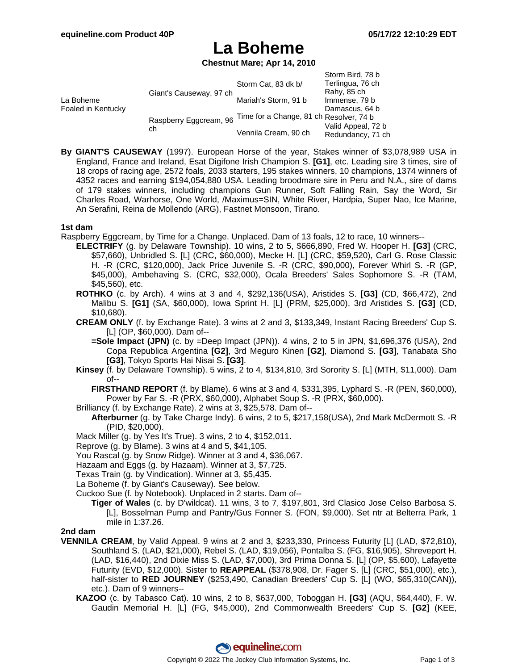## **La Boheme**

#### **Chestnut Mare; Apr 14, 2010**

|                                 |                              |                                         | Storm Bird, 78 b   |
|---------------------------------|------------------------------|-----------------------------------------|--------------------|
| La Boheme<br>Foaled in Kentucky | Giant's Causeway, 97 ch      | Storm Cat, 83 dk b/                     | Terlingua, 76 ch   |
|                                 |                              |                                         | Rahy, 85 ch        |
|                                 |                              | Mariah's Storm, 91 b                    | Immense, 79 b      |
|                                 |                              |                                         | Damascus, 64 b     |
|                                 | Raspberry Eggcream, 96<br>ch | Time for a Change, 81 ch Resolver, 74 b |                    |
|                                 |                              | Vennila Cream, 90 ch                    | Valid Appeal, 72 b |
|                                 |                              |                                         | Redundancy, 71 ch  |

**By GIANT'S CAUSEWAY** (1997). European Horse of the year, Stakes winner of \$3,078,989 USA in England, France and Ireland, Esat Digifone Irish Champion S. **[G1]**, etc. Leading sire 3 times, sire of 18 crops of racing age, 2572 foals, 2033 starters, 195 stakes winners, 10 champions, 1374 winners of 4352 races and earning \$194,054,880 USA. Leading broodmare sire in Peru and N.A., sire of dams of 179 stakes winners, including champions Gun Runner, Soft Falling Rain, Say the Word, Sir Charles Road, Warhorse, One World, /Maximus=SIN, White River, Hardpia, Super Nao, Ice Marine, An Serafini, Reina de Mollendo (ARG), Fastnet Monsoon, Tirano.

#### **1st dam**

Raspberry Eggcream, by Time for a Change. Unplaced. Dam of 13 foals, 12 to race, 10 winners--

- **ELECTRIFY** (g. by Delaware Township). 10 wins, 2 to 5, \$666,890, Fred W. Hooper H. **[G3]** (CRC, \$57,660), Unbridled S. [L] (CRC, \$60,000), Mecke H. [L] (CRC, \$59,520), Carl G. Rose Classic H. -R (CRC, \$120,000), Jack Price Juvenile S. -R (CRC, \$90,000), Forever Whirl S. -R (GP, \$45,000), Ambehaving S. (CRC, \$32,000), Ocala Breeders' Sales Sophomore S. -R (TAM, \$45,560), etc.
- **ROTHKO** (c. by Arch). 4 wins at 3 and 4, \$292,136(USA), Aristides S. **[G3]** (CD, \$66,472), 2nd Malibu S. **[G1]** (SA, \$60,000), Iowa Sprint H. [L] (PRM, \$25,000), 3rd Aristides S. **[G3]** (CD, \$10,680).
- **CREAM ONLY** (f. by Exchange Rate). 3 wins at 2 and 3, \$133,349, Instant Racing Breeders' Cup S. [L] (OP, \$60,000). Dam of--
	- **=Sole Impact (JPN)** (c. by =Deep Impact (JPN)). 4 wins, 2 to 5 in JPN, \$1,696,376 (USA), 2nd Copa Republica Argentina **[G2]**, 3rd Meguro Kinen **[G2]**, Diamond S. **[G3]**, Tanabata Sho **[G3]**, Tokyo Sports Hai Nisai S. **[G3]**.
- **Kinsey** (f. by Delaware Township). 5 wins, 2 to 4, \$134,810, 3rd Sorority S. [L] (MTH, \$11,000). Dam of--
	- **FIRSTHAND REPORT** (f. by Blame). 6 wins at 3 and 4, \$331,395, Lyphard S. -R (PEN, \$60,000), Power by Far S. -R (PRX, \$60,000), Alphabet Soup S. -R (PRX, \$60,000).
- Brilliancy (f. by Exchange Rate). 2 wins at 3, \$25,578. Dam of--
	- **Afterburner** (g. by Take Charge Indy). 6 wins, 2 to 5, \$217,158(USA), 2nd Mark McDermott S. -R (PID, \$20,000).
- Mack Miller (g. by Yes It's True). 3 wins, 2 to 4, \$152,011.

Reprove (g. by Blame). 3 wins at 4 and 5, \$41,105.

- You Rascal (g. by Snow Ridge). Winner at 3 and 4, \$36,067.
- Hazaam and Eggs (g. by Hazaam). Winner at 3, \$7,725.
- Texas Train (g. by Vindication). Winner at 3, \$5,435.
- La Boheme (f. by Giant's Causeway). See below.

Cuckoo Sue (f. by Notebook). Unplaced in 2 starts. Dam of--

**Tiger of Wales** (c. by D'wildcat). 11 wins, 3 to 7, \$197,801, 3rd Clasico Jose Celso Barbosa S. [L], Bosselman Pump and Pantry/Gus Fonner S. (FON, \$9,000). Set ntr at Belterra Park, 1 mile in 1:37.26.

#### **2nd dam**

- **VENNILA CREAM**, by Valid Appeal. 9 wins at 2 and 3, \$233,330, Princess Futurity [L] (LAD, \$72,810), Southland S. (LAD, \$21,000), Rebel S. (LAD, \$19,056), Pontalba S. (FG, \$16,905), Shreveport H. (LAD, \$16,440), 2nd Dixie Miss S. (LAD, \$7,000), 3rd Prima Donna S. [L] (OP, \$5,600), Lafayette Futurity (EVD, \$12,000). Sister to **REAPPEAL** (\$378,908, Dr. Fager S. [L] (CRC, \$51,000), etc.), half-sister to **RED JOURNEY** (\$253,490, Canadian Breeders' Cup S. [L] (WO, \$65,310(CAN)), etc.). Dam of 9 winners--
	- **KAZOO** (c. by Tabasco Cat). 10 wins, 2 to 8, \$637,000, Toboggan H. **[G3]** (AQU, \$64,440), F. W. Gaudin Memorial H. [L] (FG, \$45,000), 2nd Commonwealth Breeders' Cup S. **[G2]** (KEE,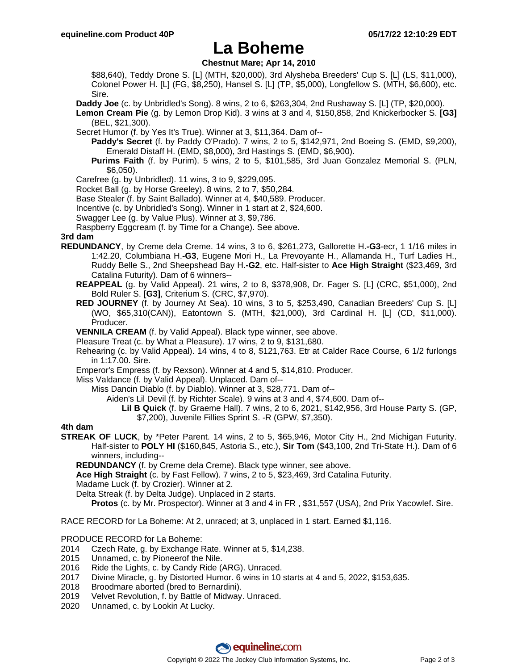### **La Boheme**

#### **Chestnut Mare; Apr 14, 2010**

\$88,640), Teddy Drone S. [L] (MTH, \$20,000), 3rd Alysheba Breeders' Cup S. [L] (LS, \$11,000), Colonel Power H. [L] (FG, \$8,250), Hansel S. [L] (TP, \$5,000), Longfellow S. (MTH, \$6,600), etc. Sire.

**Daddy Joe** (c. by Unbridled's Song). 8 wins, 2 to 6, \$263,304, 2nd Rushaway S. [L] (TP, \$20,000).

**Lemon Cream Pie** (g. by Lemon Drop Kid). 3 wins at 3 and 4, \$150,858, 2nd Knickerbocker S. **[G3]** (BEL, \$21,300).

Secret Humor (f. by Yes It's True). Winner at 3, \$11,364. Dam of--

**Paddy's Secret** (f. by Paddy O'Prado). 7 wins, 2 to 5, \$142,971, 2nd Boeing S. (EMD, \$9,200), Emerald Distaff H. (EMD, \$8,000), 3rd Hastings S. (EMD, \$6,900).

**Purims Faith** (f. by Purim). 5 wins, 2 to 5, \$101,585, 3rd Juan Gonzalez Memorial S. (PLN, \$6,050).

Carefree (g. by Unbridled). 11 wins, 3 to 9, \$229,095.

Rocket Ball (g. by Horse Greeley). 8 wins, 2 to 7, \$50,284.

Base Stealer (f. by Saint Ballado). Winner at 4, \$40,589. Producer.

Incentive (c. by Unbridled's Song). Winner in 1 start at 2, \$24,600.

Swagger Lee (g. by Value Plus). Winner at 3, \$9,786.

Raspberry Eggcream (f. by Time for a Change). See above.

#### **3rd dam**

- **REDUNDANCY**, by Creme dela Creme. 14 wins, 3 to 6, \$261,273, Gallorette H.**-G3**-ecr, 1 1/16 miles in 1:42.20, Columbiana H.**-G3**, Eugene Mori H., La Prevoyante H., Allamanda H., Turf Ladies H., Ruddy Belle S., 2nd Sheepshead Bay H.**-G2**, etc. Half-sister to **Ace High Straight** (\$23,469, 3rd Catalina Futurity). Dam of 6 winners--
	- **REAPPEAL** (g. by Valid Appeal). 21 wins, 2 to 8, \$378,908, Dr. Fager S. [L] (CRC, \$51,000), 2nd Bold Ruler S. **[G3]**, Criterium S. (CRC, \$7,970).
	- **RED JOURNEY** (f. by Journey At Sea). 10 wins, 3 to 5, \$253,490, Canadian Breeders' Cup S. [L] (WO, \$65,310(CAN)), Eatontown S. (MTH, \$21,000), 3rd Cardinal H. [L] (CD, \$11,000). Producer.

**VENNILA CREAM** (f. by Valid Appeal). Black type winner, see above.

Pleasure Treat (c. by What a Pleasure). 17 wins, 2 to 9, \$131,680.

Rehearing (c. by Valid Appeal). 14 wins, 4 to 8, \$121,763. Etr at Calder Race Course, 6 1/2 furlongs in 1:17.00. Sire.

Emperor's Empress (f. by Rexson). Winner at 4 and 5, \$14,810. Producer.

Miss Valdance (f. by Valid Appeal). Unplaced. Dam of--

Miss Dancin Diablo (f. by Diablo). Winner at 3, \$28,771. Dam of--

Aiden's Lil Devil (f. by Richter Scale). 9 wins at 3 and 4, \$74,600. Dam of--

**Lil B Quick** (f. by Graeme Hall). 7 wins, 2 to 6, 2021, \$142,956, 3rd House Party S. (GP, \$7,200), Juvenile Fillies Sprint S. -R (GPW, \$7,350).

#### **4th dam**

**STREAK OF LUCK**, by \*Peter Parent. 14 wins, 2 to 5, \$65,946, Motor City H., 2nd Michigan Futurity. Half-sister to **POLY HI** (\$160,845, Astoria S., etc.), **Sir Tom** (\$43,100, 2nd Tri-State H.). Dam of 6 winners, including--

**REDUNDANCY** (f. by Creme dela Creme). Black type winner, see above.

**Ace High Straight** (c. by Fast Fellow). 7 wins, 2 to 5, \$23,469, 3rd Catalina Futurity.

Madame Luck (f. by Crozier). Winner at 2.

Delta Streak (f. by Delta Judge). Unplaced in 2 starts.

**Protos** (c. by Mr. Prospector). Winner at 3 and 4 in FR , \$31,557 (USA), 2nd Prix Yacowlef. Sire.

RACE RECORD for La Boheme: At 2, unraced; at 3, unplaced in 1 start. Earned \$1,116.

PRODUCE RECORD for La Boheme:

- 2014 Czech Rate, g. by Exchange Rate. Winner at 5, \$14,238.
- 2015 Unnamed, c. by Pioneerof the Nile.
- 2016 Ride the Lights, c. by Candy Ride (ARG). Unraced.
- 2017 Divine Miracle, g. by Distorted Humor. 6 wins in 10 starts at 4 and 5, 2022, \$153,635.
- 2018 Broodmare aborted (bred to Bernardini).
- 2019 Velvet Revolution, f. by Battle of Midway. Unraced.
- 2020 Unnamed, c. by Lookin At Lucky.